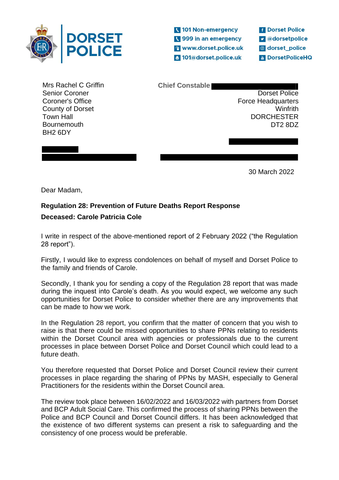

101 Non-emergency Sales 999 in an emergency <sup>2</sup> www.dorset.police.uk 2 101@dorset.police.uk

**f** Dorset Police **v** @dorsetpolice dorset\_police **& DorsetPoliceHQ** 

Mrs Rachel C Griffin Senior Coroner Coroner's Office County of Dorset Town Hall **Bournemouth** BH2 6DY

**Chief Constable** 

Dorset Police Force Headquarters Winfrith **DORCHESTER** DT2 8DZ

30 March 2022

Dear Madam,

## **Regulation 28: Prevention of Future Deaths Report Response**

## **Deceased: Carole Patricia Cole**

I write in respect of the above-mentioned report of 2 February 2022 ("the Regulation 28 report").

Firstly, I would like to express condolences on behalf of myself and Dorset Police to the family and friends of Carole.

Secondly, I thank you for sending a copy of the Regulation 28 report that was made during the inquest into Carole's death. As you would expect, we welcome any such opportunities for Dorset Police to consider whether there are any improvements that can be made to how we work.

In the Regulation 28 report, you confirm that the matter of concern that you wish to raise is that there could be missed opportunities to share PPNs relating to residents within the Dorset Council area with agencies or professionals due to the current processes in place between Dorset Police and Dorset Council which could lead to a future death.

You therefore requested that Dorset Police and Dorset Council review their current processes in place regarding the sharing of PPNs by MASH, especially to General Practitioners for the residents within the Dorset Council area.

The review took place between 16/02/2022 and 16/03/2022 with partners from Dorset and BCP Adult Social Care. This confirmed the process of sharing PPNs between the Police and BCP Council and Dorset Council differs. It has been acknowledged that the existence of two different systems can present a risk to safeguarding and the consistency of one process would be preferable.